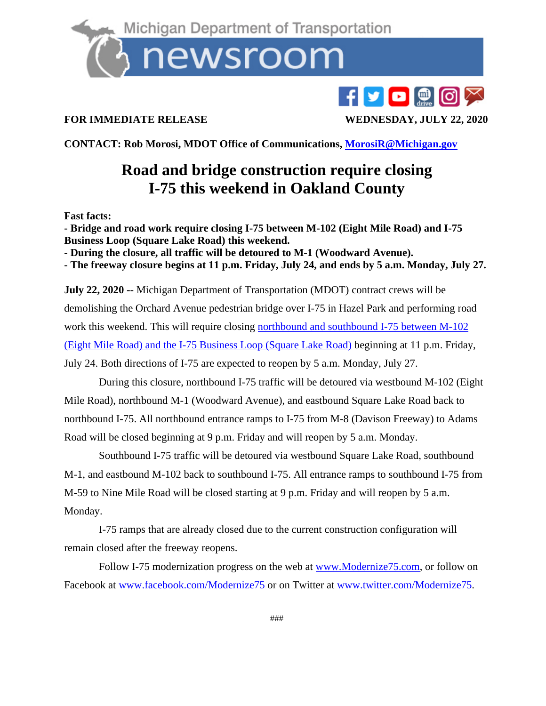

## $f$   $\bullet$   $\bullet$   $\circ$   $\circ$

## **FOR IMMEDIATE RELEASE WEDNESDAY, JULY 22, 2020**

**CONTACT: Rob Morosi, MDOT Office of Communications, [MorosiR@Michigan.gov](mailto:MorosiR@Michigan.gov)**

## **Road and bridge construction require closing I-75 this weekend in Oakland County**

**Fast facts:**

**- Bridge and road work require closing I-75 between M-102 (Eight Mile Road) and I-75 Business Loop (Square Lake Road) this weekend.**

**- During the closure, all traffic will be detoured to M-1 (Woodward Avenue).**

**- The freeway closure begins at 11 p.m. Friday, July 24, and ends by 5 a.m. Monday, July 27.**

**July 22, 2020 --** Michigan Department of Transportation (MDOT) contract crews will be demolishing the Orchard Avenue pedestrian bridge over I-75 in Hazel Park and performing road work this weekend. This will require closing [northbound and southbound](https://mdotjboss.state.mi.us/MiDrive/map?constZone=true&lat=42.531571241064185&lon=-83.15666100309303&zoom=12) I-75 between M-102 [\(Eight Mile Road\) and the I-75 Business Loop \(Square Lake Road\)](https://mdotjboss.state.mi.us/MiDrive/map?constZone=true&lat=42.531571241064185&lon=-83.15666100309303&zoom=12) beginning at 11 p.m. Friday, July 24. Both directions of I-75 are expected to reopen by 5 a.m. Monday, July 27.

 During this closure, northbound I-75 traffic will be detoured via westbound M-102 (Eight Mile Road), northbound M-1 (Woodward Avenue), and eastbound Square Lake Road back to northbound I-75. All northbound entrance ramps to I-75 from M-8 (Davison Freeway) to Adams Road will be closed beginning at 9 p.m. Friday and will reopen by 5 a.m. Monday.

 Southbound I-75 traffic will be detoured via westbound Square Lake Road, southbound M-1, and eastbound M-102 back to southbound I-75. All entrance ramps to southbound I-75 from M-59 to Nine Mile Road will be closed starting at 9 p.m. Friday and will reopen by 5 a.m. Monday.

 I-75 ramps that are already closed due to the current construction configuration will remain closed after the freeway reopens.

 Follow I-75 modernization progress on the web at [www.Modernize75.com,](https://gcc01.safelinks.protection.outlook.com/?url=https%3A%2F%2Flnks.gd%2Fl%2FeyJhbGciOiJIUzI1NiJ9.eyJidWxsZXRpbl9saW5rX2lkIjoxMDksInVyaSI6ImJwMjpjbGljayIsImJ1bGxldGluX2lkIjoiMjAyMDA0MTYuMjAyMzA0NzEiLCJ1cmwiOiJodHRwOi8vd3d3Lm1vZGVybml6ZTc1LmNvbS8ifQ.1QpIjJDbZzY1HSBR9WEsOQZCRurFfSRTi8cqLgI5-U8%2Fbr%2F77478257286-l&data=02%7C01%7Cmorosir%40michigan.gov%7Cda9ea3fa00834731314908d7e206866c%7Cd5fb7087377742ad966a892ef47225d1%7C0%7C0%7C637226389960734262&sdata=OUh0zyugjFuDwZvtBvMZr8GteHJTpLGdd8trbyOT9GI%3D&reserved=0) or follow on Facebook at [www.facebook.com/Modernize75](https://gcc01.safelinks.protection.outlook.com/?url=https%3A%2F%2Flnks.gd%2Fl%2FeyJhbGciOiJIUzI1NiJ9.eyJidWxsZXRpbl9saW5rX2lkIjoxMTAsInVyaSI6ImJwMjpjbGljayIsImJ1bGxldGluX2lkIjoiMjAyMDA0MTYuMjAyMzA0NzEiLCJ1cmwiOiJodHRwOi8vd3d3LmZhY2Vib29rLmNvbS9Nb2Rlcm5pemU3NSJ9.2Af29IWtIOLGEf_as_HpUKM_TpzXgzNMbF0TmHJ3KcU%2Fbr%2F77478257286-l&data=02%7C01%7Cmorosir%40michigan.gov%7Cda9ea3fa00834731314908d7e206866c%7Cd5fb7087377742ad966a892ef47225d1%7C0%7C0%7C637226389960744211&sdata=XFtYsASfS%2BRrYAl9AX6mrfjtstbUs5mS%2FfnjmZLyaEY%3D&reserved=0) or on Twitter at [www.twitter.com/Modernize75.](https://gcc01.safelinks.protection.outlook.com/?url=https%3A%2F%2Flnks.gd%2Fl%2FeyJhbGciOiJIUzI1NiJ9.eyJidWxsZXRpbl9saW5rX2lkIjoxMTEsInVyaSI6ImJwMjpjbGljayIsImJ1bGxldGluX2lkIjoiMjAyMDA0MTYuMjAyMzA0NzEiLCJ1cmwiOiJodHRwOi8vd3d3LnR3aXR0ZXIuY29tL01vZGVybml6ZTc1In0.1OxcC9pb5FQhYKoxe9yW9ziWQiVCBmJzqN2PwoK8k3E%2Fbr%2F77478257286-l&data=02%7C01%7Cmorosir%40michigan.gov%7Cda9ea3fa00834731314908d7e206866c%7Cd5fb7087377742ad966a892ef47225d1%7C0%7C0%7C637226389960744211&sdata=2PvsYKiRxEefZSDCBNAwSUxn%2B0b92yFUNlhWKukbOaw%3D&reserved=0)